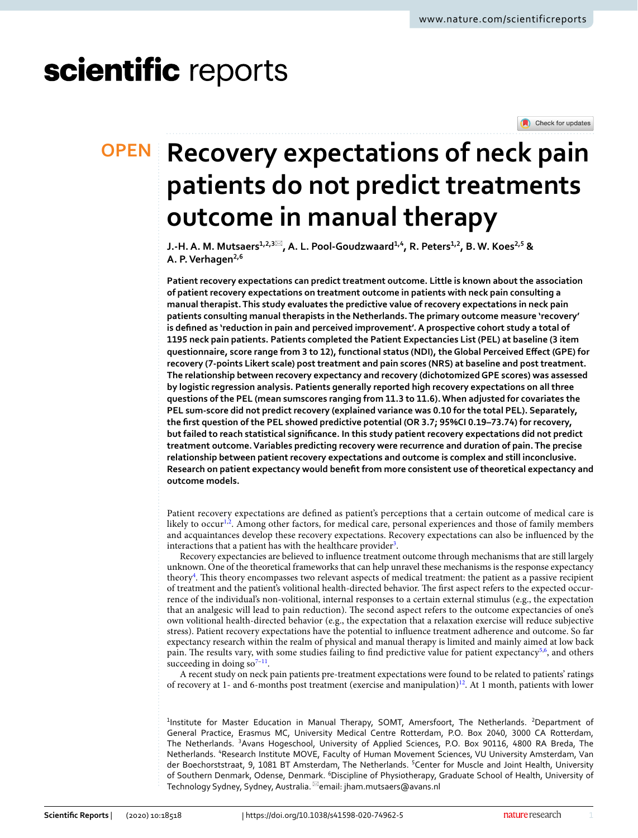# scientific reports

Check for updates

## **Recovery expectations of neck pain patients do not predict treatments outcome in manual therapy**

**J.‑H.A. M. Mutsaers1,2,3**\***, A. L. Pool‑Goudzwaard1,4, R. Peters1,2, B. W. Koes2,5 & A. P.Verhagen2,6**

**Patient recovery expectations can predict treatment outcome. Little is known about the association of patient recovery expectations on treatment outcome in patients with neck pain consulting a manual therapist. This study evaluates the predictive value of recovery expectations in neck pain patients consulting manual therapists in the Netherlands. The primary outcome measure 'recovery' is defned as 'reduction in pain and perceived improvement'. A prospective cohort study a total of 1195 neck pain patients. Patients completed the Patient Expectancies List (PEL) at baseline (3 item questionnaire, score range from 3 to 12), functional status (NDI), the Global Perceived Efect (GPE) for recovery (7-points Likert scale) post treatment and pain scores (NRS) at baseline and post treatment. The relationship between recovery expectancy and recovery (dichotomized GPE scores) was assessed by logistic regression analysis. Patients generally reported high recovery expectations on all three questions of the PEL (mean sumscores ranging from 11.3 to 11.6). When adjusted for covariates the PEL sum-score did not predict recovery (explained variance was 0.10 for the total PEL). Separately, the frst question of the PEL showed predictive potential (OR 3.7; 95%CI 0.19–73.74) for recovery, but failed to reach statistical signifcance. In this study patient recovery expectations did not predict treatment outcome. Variables predicting recovery were recurrence and duration of pain. The precise relationship between patient recovery expectations and outcome is complex and still inconclusive. Research on patient expectancy would beneft from more consistent use of theoretical expectancy and outcome models.**

Patient recovery expectations are defned as patient's perceptions that a certain outcome of medical care is likely to occur<sup>[1](#page-6-0)[,2](#page-6-1)</sup>. Among other factors, for medical care, personal experiences and those of family members and acquaintances develop these recovery expectations. Recovery expectations can also be infuenced by the interactions that a patient has with the healthcare provider<sup>3</sup>.

Recovery expectancies are believed to infuence treatment outcome through mechanisms that are still largely unknown. One of the theoretical frameworks that can help unravel these mechanisms is the response expectancy theory<sup>[4](#page-6-3)</sup>. This theory encompasses two relevant aspects of medical treatment: the patient as a passive recipient of treatment and the patient's volitional health-directed behavior. The first aspect refers to the expected occurrence of the individual's non-volitional, internal responses to a certain external stimulus (e.g., the expectation that an analgesic will lead to pain reduction). The second aspect refers to the outcome expectancies of one's own volitional health-directed behavior (e.g., the expectation that a relaxation exercise will reduce subjective stress). Patient recovery expectations have the potential to infuence treatment adherence and outcome. So far expectancy research within the realm of physical and manual therapy is limited and mainly aimed at low back pain. The results vary, with some studies failing to find predictive value for patient expectancy $5.6$  $5.6$ , and others succeeding in doing  $so<sup>7-11</sup>$ .

A recent study on neck pain patients pre-treatment expectations were found to be related to patients' ratings of recovery at 1- and 6-months post treatment (exercise and manipulation)<sup>[12](#page-6-8)</sup>. At 1 month, patients with lower

<sup>1</sup>Institute for Master Education in Manual Therapy, SOMT, Amersfoort, The Netherlands. <sup>2</sup>Department of General Practice, Erasmus MC, University Medical Centre Rotterdam, P.O. Box 2040, 3000 CA Rotterdam, The Netherlands. <sup>3</sup>Avans Hogeschool, University of Applied Sciences, P.O. Box 90116, 4800 RA Breda, The Netherlands. <sup>4</sup> Research Institute MOVE, Faculty of Human Movement Sciences, VU University Amsterdam, Van der Boechorststraat, 9, 1081 BT Amsterdam, The Netherlands. <sup>5</sup>Center for Muscle and Joint Health, University of Southern Denmark, Odense, Denmark. <sup>6</sup>Discipline of Physiotherapy, Graduate School of Health, University of Technology Sydney, Sydney, Australia.<sup>⊠</sup>email: jham.mutsaers@avans.nl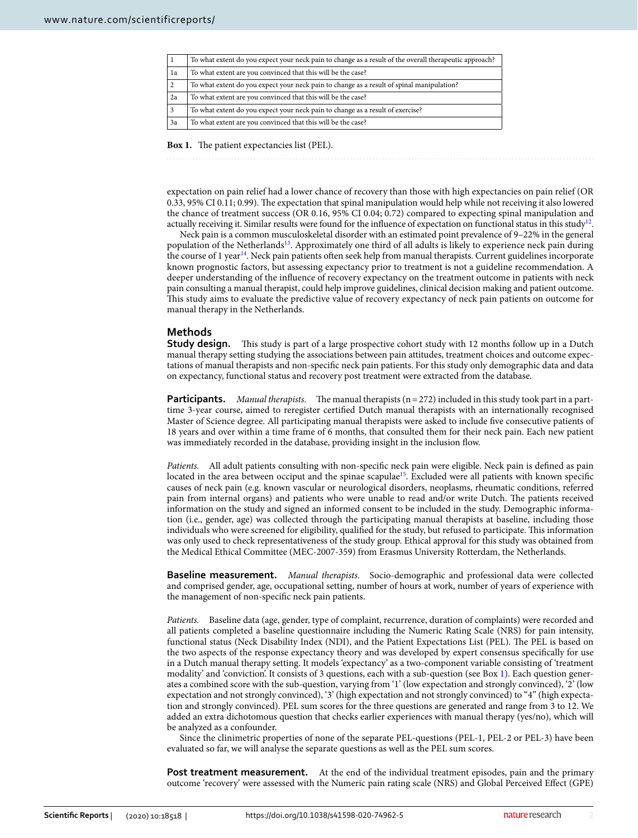| To what extent do you expect your neck pain to change as a result of the overall therapeutic approach? |
|--------------------------------------------------------------------------------------------------------|
| To what extent are you convinced that this will be the case?                                           |
| To what extent do you expect your neck pain to change as a result of spinal manipulation?              |
| To what extent are you convinced that this will be the case?                                           |
| To what extent do you expect your neck pain to change as a result of exercise?                         |
| To what extent are you convinced that this will be the case?                                           |
|                                                                                                        |

<span id="page-1-0"></span>Box 1. The patient expectancies list (PEL).

expectation on pain relief had a lower chance of recovery than those with high expectancies on pain relief (OR 0.33, 95% CI 0.11; 0.99). The expectation that spinal manipulation would help while not receiving it also lowered the chance of treatment success (OR 0.16, 95% CI 0.04; 0.72) compared to expecting spinal manipulation and actually receiving it. Similar results were found for the influence of expectation on functional status in this study<sup>[12](#page-6-8)</sup>.

Neck pain is a common musculoskeletal disorder with an estimated point prevalence of 9–22% in the general population of the Netherlands<sup>13</sup>. Approximately one third of all adults is likely to experience neck pain during the course of 1 year<sup>[14](#page-6-10)</sup>. Neck pain patients often seek help from manual therapists. Current guidelines incorporate known prognostic factors, but assessing expectancy prior to treatment is not a guideline recommendation. A deeper understanding of the infuence of recovery expectancy on the treatment outcome in patients with neck pain consulting a manual therapist, could help improve guidelines, clinical decision making and patient outcome. Tis study aims to evaluate the predictive value of recovery expectancy of neck pain patients on outcome for manual therapy in the Netherlands.

### **Methods**

**Study design.** This study is part of a large prospective cohort study with 12 months follow up in a Dutch manual therapy setting studying the associations between pain attitudes, treatment choices and outcome expectations of manual therapists and non-specifc neck pain patients. For this study only demographic data and data on expectancy, functional status and recovery post treatment were extracted from the database.

**Participants.** *Manual therapists.* The manual therapists ( $n=272$ ) included in this study took part in a parttime 3-year course, aimed to reregister certifed Dutch manual therapists with an internationally recognised Master of Science degree. All participating manual therapists were asked to include fve consecutive patients of 18 years and over within a time frame of 6 months, that consulted them for their neck pain. Each new patient was immediately recorded in the database, providing insight in the inclusion fow.

*Patients.* All adult patients consulting with non-specifc neck pain were eligible. Neck pain is defned as pain located in the area between occiput and the spinae scapulae<sup>15</sup>. Excluded were all patients with known specific causes of neck pain (e.g. known vascular or neurological disorders, neoplasms, rheumatic conditions, referred pain from internal organs) and patients who were unable to read and/or write Dutch. The patients received information on the study and signed an informed consent to be included in the study. Demographic information (i.e., gender, age) was collected through the participating manual therapists at baseline, including those individuals who were screened for eligibility, qualified for the study, but refused to participate. This information was only used to check representativeness of the study group. Ethical approval for this study was obtained from the Medical Ethical Committee (MEC-2007-359) from Erasmus University Rotterdam, the Netherlands.

**Baseline measurement.** *Manual therapists.* Socio-demographic and professional data were collected and comprised gender, age, occupational setting, number of hours at work, number of years of experience with the management of non-specifc neck pain patients.

*Patients.* Baseline data (age, gender, type of complaint, recurrence, duration of complaints) were recorded and all patients completed a baseline questionnaire including the Numeric Rating Scale (NRS) for pain intensity, functional status (Neck Disability Index (NDI), and the Patient Expectations List (PEL). The PEL is based on the two aspects of the response expectancy theory and was developed by expert consensus specifcally for use in a Dutch manual therapy setting. It models 'expectancy' as a two-component variable consisting of 'treatment modality' and 'conviction'. It consists of 3 questions, each with a sub-question (see Box [1](#page-1-0)). Each question generates a combined score with the sub-question, varying from '1' (low expectation and strongly convinced), '2' (low expectation and not strongly convinced), '3' (high expectation and not strongly convinced) to "4" (high expectation and strongly convinced). PEL sum scores for the three questions are generated and range from 3 to 12. We added an extra dichotomous question that checks earlier experiences with manual therapy (yes/no), which will be analyzed as a confounder.

Since the clinimetric properties of none of the separate PEL-questions (PEL-1, PEL-2 or PEL-3) have been evaluated so far, we will analyse the separate questions as well as the PEL sum scores.

**Post treatment measurement.** At the end of the individual treatment episodes, pain and the primary outcome 'recovery' were assessed with the Numeric pain rating scale (NRS) and Global Perceived Efect (GPE)

2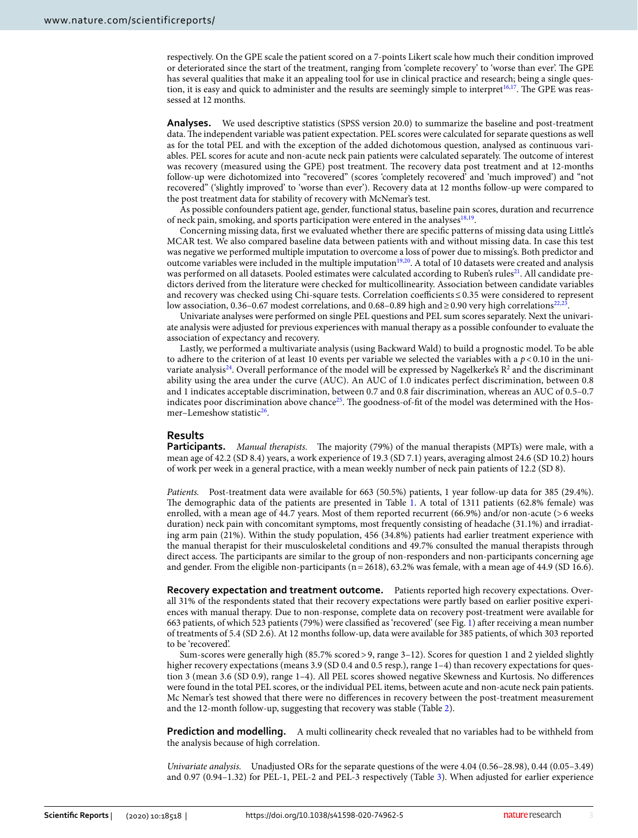respectively. On the GPE scale the patient scored on a 7-points Likert scale how much their condition improved or deteriorated since the start of the treatment, ranging from 'complete recovery' to 'worse than ever'. The GPE has several qualities that make it an appealing tool for use in clinical practice and research; being a single ques-tion, it is easy and quick to administer and the results are seemingly simple to interpret<sup>[16](#page-6-12),[17](#page-6-13)</sup>. The GPE was reassessed at 12 months.

**Analyses.** We used descriptive statistics (SPSS version 20.0) to summarize the baseline and post-treatment data. The independent variable was patient expectation. PEL scores were calculated for separate questions as well as for the total PEL and with the exception of the added dichotomous question, analysed as continuous variables. PEL scores for acute and non-acute neck pain patients were calculated separately. The outcome of interest was recovery (measured using the GPE) post treatment. The recovery data post treatment and at 12-months follow-up were dichotomized into "recovered" (scores 'completely recovered' and 'much improved') and "not recovered" ('slightly improved' to 'worse than ever'). Recovery data at 12 months follow-up were compared to the post treatment data for stability of recovery with McNemar's test.

As possible confounders patient age, gender, functional status, baseline pain scores, duration and recurrence of neck pain, smoking, and sports participation were entered in the analyses<sup>[18,](#page-6-14)19</sup>.

Concerning missing data, frst we evaluated whether there are specifc patterns of missing data using Little's MCAR test. We also compared baseline data between patients with and without missing data. In case this test was negative we performed multiple imputation to overcome a loss of power due to missing's. Both predictor and outcome variables were included in the multiple imputation<sup>19[,20](#page-6-16)</sup>. A total of 10 datasets were created and analysis was performed on all datasets. Pooled estimates were calculated according to Ruben's rules<sup>21</sup>. All candidate predictors derived from the literature were checked for multicollinearity. Association between candidate variables and recovery was checked using Chi-square tests. Correlation coefficients≤0.35 were considered to represent low association, 0.36–0.67 modest correlations, and 0.68–0.89 high and ≥0.90 very high correlations<sup>22,23</sup>.

Univariate analyses were performed on single PEL questions and PEL sum scores separately. Next the univariate analysis were adjusted for previous experiences with manual therapy as a possible confounder to evaluate the association of expectancy and recovery.

Lastly, we performed a multivariate analysis (using Backward Wald) to build a prognostic model. To be able to adhere to the criterion of at least 10 events per variable we selected the variables with a *p*<0.10 in the univariate analysis<sup>24</sup>. Overall performance of the model will be expressed by Nagelkerke's R<sup>2</sup> and the discriminant ability using the area under the curve (AUC). An AUC of 1.0 indicates perfect discrimination, between 0.8 and 1 indicates acceptable discrimination, between 0.7 and 0.8 fair discrimination, whereas an AUC of 0.5–0.7 indicates poor discrimination above chance<sup>25</sup>. The goodness-of-fit of the model was determined with the Hos-mer–Lemeshow statistic<sup>[26](#page-7-5)</sup>.

#### **Results**

**Participants.** *Manual therapists.* The majority (79%) of the manual therapists (MPTs) were male, with a mean age of 42.2 (SD 8.4) years, a work experience of 19.3 (SD 7.1) years, averaging almost 24.6 (SD 10.2) hours of work per week in a general practice, with a mean weekly number of neck pain patients of 12.2 (SD 8).

*Patients.* Post-treatment data were available for 663 (50.5%) patients, 1 year follow-up data for 385 (29.4%). The demographic data of the patients are presented in Table [1.](#page-3-0) A total of 1311 patients (62.8% female) was enrolled, with a mean age of 44.7 years. Most of them reported recurrent (66.9%) and/or non-acute (>6 weeks duration) neck pain with concomitant symptoms, most frequently consisting of headache (31.1%) and irradiating arm pain (21%). Within the study population, 456 (34.8%) patients had earlier treatment experience with the manual therapist for their musculoskeletal conditions and 49.7% consulted the manual therapists through direct access. The participants are similar to the group of non-responders and non-participants concerning age and gender. From the eligible non-participants (n=2618), 63.2% was female, with a mean age of 44.9 (SD 16.6).

**Recovery expectation and treatment outcome.** Patients reported high recovery expectations. Overall 31% of the respondents stated that their recovery expectations were partly based on earlier positive experiences with manual therapy. Due to non-response, complete data on recovery post-treatment were available for 663 patients, of which 523 patients (79%) were classifed as 'recovered' (see Fig. [1\)](#page-3-1) afer receiving a mean number of treatments of 5.4 (SD 2.6). At 12 months follow-up, data were available for 385 patients, of which 303 reported to be 'recovered'.

Sum-scores were generally high (85.7% scored>9, range 3–12). Scores for question 1 and 2 yielded slightly higher recovery expectations (means 3.9 (SD 0.4 and 0.5 resp.), range 1-4) than recovery expectations for question 3 (mean 3.6 (SD 0.9), range 1–4). All PEL scores showed negative Skewness and Kurtosis. No diferences were found in the total PEL scores, or the individual PEL items, between acute and non-acute neck pain patients. Mc Nemar's test showed that there were no diferences in recovery between the post-treatment measurement and the 12-month follow-up, suggesting that recovery was stable (Table [2](#page-3-2)).

**Prediction and modelling.** A multi collinearity check revealed that no variables had to be withheld from the analysis because of high correlation.

*Univariate analysis.* Unadjusted ORs for the separate questions of the were 4.04 (0.56–28.98), 0.44 (0.05–3.49) and 0.97 (0.94–1.32) for PEL-1, PEL-2 and PEL-3 respectively (Table [3](#page-4-0)). When adjusted for earlier experience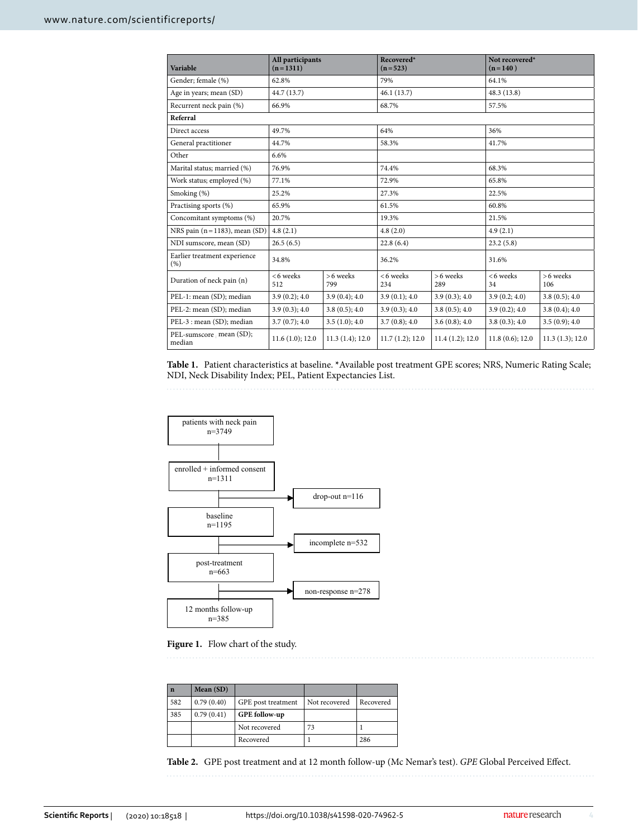| Variable                             | All participants<br>$(n=1311)$ |                 | Recovered*<br>$(n=523)$ |                 | Not recovered*<br>$(n=140)$ |                 |
|--------------------------------------|--------------------------------|-----------------|-------------------------|-----------------|-----------------------------|-----------------|
| Gender; female (%)                   | 62.8%                          |                 | 79%                     |                 | 64.1%                       |                 |
| Age in years; mean (SD)              | 44.7 (13.7)                    |                 | 46.1(13.7)              |                 | 48.3 (13.8)                 |                 |
| Recurrent neck pain (%)              | 66.9%                          |                 | 68.7%                   |                 | 57.5%                       |                 |
| Referral                             |                                |                 |                         |                 |                             |                 |
| Direct access                        | 49.7%                          |                 | 64%                     |                 | 36%                         |                 |
| General practitioner                 | 44.7%                          |                 | 58.3%                   |                 | 41.7%                       |                 |
| Other                                | 6.6%                           |                 |                         |                 |                             |                 |
| Marital status; married (%)          | 76.9%                          |                 | 74.4%                   |                 | 68.3%                       |                 |
| Work status; employed (%)            | 77.1%                          |                 | 72.9%                   |                 | 65.8%                       |                 |
| Smoking (%)                          | 25.2%                          |                 | 27.3%                   |                 | 22.5%                       |                 |
| Practising sports (%)                | 65.9%                          |                 | 61.5%                   |                 | 60.8%                       |                 |
| Concomitant symptoms (%)             | 20.7%                          |                 | 19.3%                   |                 | 21.5%                       |                 |
| NRS pain $(n=1183)$ , mean $(SD)$    | 4.8(2.1)                       |                 | 4.8(2.0)                |                 | 4.9(2.1)                    |                 |
| NDI sumscore, mean (SD)              | 26.5(6.5)                      |                 | 22.8(6.4)               |                 | 23.2(5.8)                   |                 |
| Earlier treatment experience<br>(% ) | 34.8%                          |                 | 36.2%                   |                 | 31.6%                       |                 |
| Duration of neck pain (n)            | <6 weeks<br>512                | >6 weeks<br>799 | <6 weeks<br>234         | >6 weeks<br>289 | <6 weeks<br>34              | >6 weeks<br>106 |
| PEL-1: mean (SD); median             | 3.9(0.2); 4.0                  | 3.9(0.4); 4.0   | 3.9(0.1); 4.0           | 3.9(0.3); 4.0   | 3.9(0.2; 4.0)               | 3.8(0.5); 4.0   |
| PEL-2: mean (SD); median             | 3.9(0.3); 4.0                  | 3.8(0.5); 4.0   | 3.9(0.3); 4.0           | 3.8(0.5); 4.0   | 3.9(0.2); 4.0               | 3.8(0.4); 4.0   |
| PEL-3 : mean (SD); median            | 3.7(0.7); 4.0                  | 3.5(1.0); 4.0   | 3.7(0.8); 4.0           | 3.6(0.8); 4.0   | 3.8(0.3); 4.0               | 3.5(0.9); 4.0   |
| PEL-sumscore . mean (SD);<br>median  | 11.6(1.0); 12.0                | 11.3(1.4); 12.0 | 11.7(1.2); 12.0         | 11.4(1.2); 12.0 | 11.8(0.6); 12.0             | 11.3(1.3); 12.0 |

<span id="page-3-0"></span>**Table 1.** Patient characteristics at baseline. **\***Available post treatment GPE scores; NRS, Numeric Rating Scale; NDI, Neck Disability Index; PEL, Patient Expectancies List.



<span id="page-3-1"></span>

| $\mathbf n$ | Mean (SD)  |                    |               |           |
|-------------|------------|--------------------|---------------|-----------|
| 582         | 0.79(0.40) | GPE post treatment | Not recovered | Recovered |
| 385         | 0.79(0.41) | GPE follow-up      |               |           |
|             |            | Not recovered      | 73            |           |
|             |            | Recovered          |               | 286       |

<span id="page-3-2"></span>**Table 2.** GPE post treatment and at 12 month follow-up (Mc Nemar's test). *GPE* Global Perceived Efect.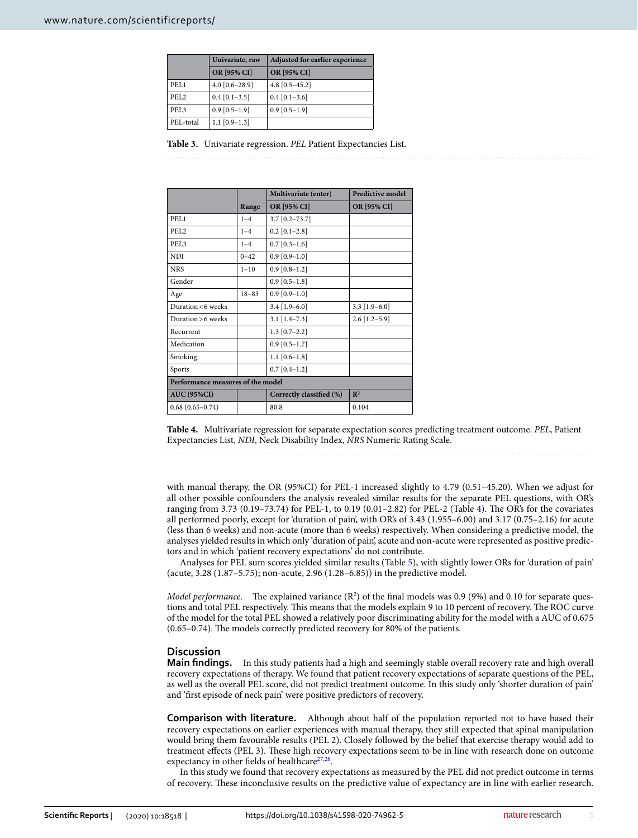|                  | Univariate, raw  | Adjusted for earlier experience |  |  |
|------------------|------------------|---------------------------------|--|--|
|                  | OR [95% CI]      | OR [95% CI]                     |  |  |
| PEL <sub>1</sub> | $4.0$ [0.6-28.9] | $4.8$ [0.5-45.2]                |  |  |
| PEL <sub>2</sub> | $0.4$ [0.1-3.5]  | $0.4$ [0.1-3.6]                 |  |  |
| PEL <sub>3</sub> | $0.9$ [0.5-1.9]  | $0.9$ [0.5-1.9]                 |  |  |
| PEL-total        | $1.1$ [0.9-1.3]  |                                 |  |  |

<span id="page-4-0"></span>**Table 3.** Univariate regression. *PEL* Patient Expectancies List.

|                                   |           | Multivariate (enter)     | <b>Predictive model</b> |  |
|-----------------------------------|-----------|--------------------------|-------------------------|--|
|                                   | Range     | OR [95% CI]              | OR [95% CI]             |  |
| PEL1                              | $1 - 4$   | $3.7$ [0.2-73.7]         |                         |  |
| PEL <sub>2</sub>                  | $1 - 4$   | $0.2$ [0.1-2.8]          |                         |  |
| PEL <sub>3</sub>                  | $1 - 4$   | $0.7$ [0.3-1.6]          |                         |  |
| <b>NDI</b>                        | $0 - 42$  | $0.9$ [0.9-1.0]          |                         |  |
| <b>NRS</b>                        | $1 - 10$  | $0.9$ [0.8-1.2]          |                         |  |
| Gender                            |           | $0.9$ [0.5-1.8]          |                         |  |
| Age                               | $18 - 83$ | $0.9$ [0.9-1.0]          |                         |  |
| Duration < 6 weeks                |           | $3.4$ [1.9-6.0]          | $3.3$ [1.9-6.0]         |  |
| Duration > 6 weeks                |           | $3.1$ [1.4-7.3]          | $2.6$ [1.2-5.9]         |  |
| Recurrent                         |           | $1.3$ [0.7-2.2]          |                         |  |
| Medication                        |           | $0.9$ [0.5-1.7]          |                         |  |
| Smoking                           |           | $1.1$ [0.6-1.8]          |                         |  |
| Sports                            |           | $0.7$ [0.4-1.2]          |                         |  |
| Performance measures of the model |           |                          |                         |  |
| <b>AUC (95%CI)</b>                |           | Correctly classified (%) | $\mathbb{R}^2$          |  |
| $0.68(0.65 - 0.74)$               |           | 80.8                     | 0.104                   |  |

<span id="page-4-1"></span>**Table 4.** Multivariate regression for separate expectation scores predicting treatment outcome. *PEL*, Patient Expectancies List, *NDI*, Neck Disability Index, *NRS* Numeric Rating Scale.

with manual therapy, the OR (95%CI) for PEL-1 increased slightly to 4.79 (0.51–45.20). When we adjust for all other possible confounders the analysis revealed similar results for the separate PEL questions, with OR's ranging from 3.73 (0.19–73.7[4](#page-4-1)) for PEL-1, to 0.19 (0.01–2.82) for PEL-2 (Table 4). The OR's for the covariates all performed poorly, except for 'duration of pain', with OR's of 3.43 (1.955–6.00) and 3.17 (0.75–2.16) for acute (less than 6 weeks) and non-acute (more than 6 weeks) respectively. When considering a predictive model, the analyses yielded results in which only 'duration of pain', acute and non-acute were represented as positive predictors and in which 'patient recovery expectations' do not contribute.

Analyses for PEL sum scores yielded similar results (Table [5](#page-5-0)), with slightly lower ORs for 'duration of pain' (acute, 3.28 (1.87–5.75); non-acute, 2.96 (1.28–6.85)) in the predictive model.

*Model performance.* The explained variance  $(R^2)$  of the final models was 0.9 (9%) and 0.10 for separate questions and total PEL respectively. This means that the models explain 9 to 10 percent of recovery. The ROC curve of the model for the total PEL showed a relatively poor discriminating ability for the model with a AUC of 0.675  $(0.65-0.74)$ . The models correctly predicted recovery for 80% of the patients.

#### **Discussion**

**Main fndings.** In this study patients had a high and seemingly stable overall recovery rate and high overall recovery expectations of therapy. We found that patient recovery expectations of separate questions of the PEL, as well as the overall PEL score, did not predict treatment outcome. In this study only 'shorter duration of pain' and 'frst episode of neck pain' were positive predictors of recovery.

**Comparison with literature.** Although about half of the population reported not to have based their recovery expectations on earlier experiences with manual therapy, they still expected that spinal manipulation would bring them favourable results (PEL 2). Closely followed by the belief that exercise therapy would add to treatment effects (PEL 3). These high recovery expectations seem to be in line with research done on outcome expectancy in other fields of healthcare<sup>27,28</sup>.

In this study we found that recovery expectations as measured by the PEL did not predict outcome in terms of recovery. Tese inconclusive results on the predictive value of expectancy are in line with earlier research.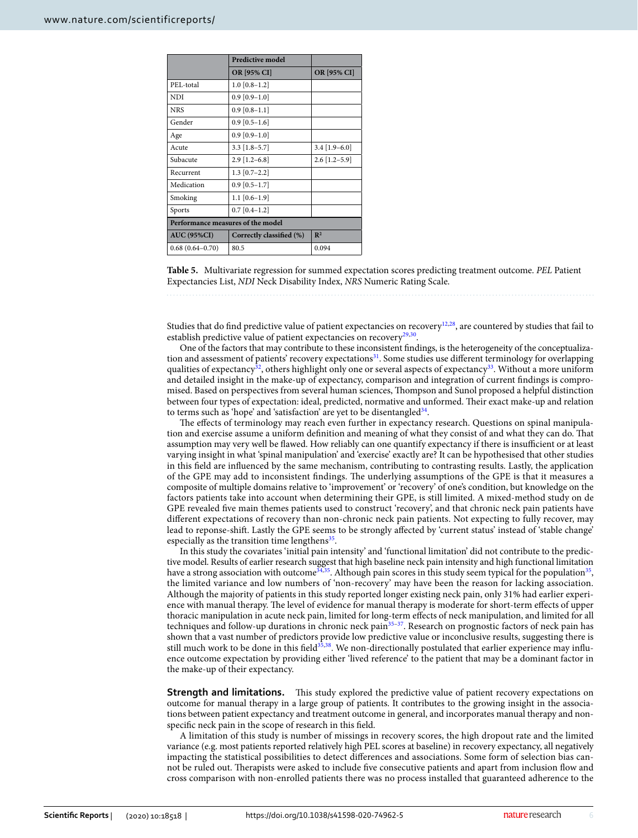|                                   | <b>Predictive model</b>  |                 |  |
|-----------------------------------|--------------------------|-----------------|--|
|                                   | <b>OR [95% CI]</b>       | OR [95% CI]     |  |
| PEL-total                         | $1.0$ [0.8-1.2]          |                 |  |
| <b>NDI</b>                        | $0.9$ [0.9-1.0]          |                 |  |
| <b>NRS</b>                        | $0.9$ [0.8-1.1]          |                 |  |
| Gender                            | $0.9$ [0.5-1.6]          |                 |  |
| Age                               | $0.9$ [0.9-1.0]          |                 |  |
| Acute                             | $3.3$ [1.8-5.7]          | $3.4$ [1.9-6.0] |  |
| Subacute                          | $2.9$ [1.2-6.8]          | $2.6$ [1.2-5.9] |  |
| Recurrent                         | $1.3$ [0.7-2.2]          |                 |  |
| Medication                        | $0.9$ [0.5-1.7]          |                 |  |
| Smoking                           | $1.1$ [0.6-1.9]          |                 |  |
| Sports                            | $0.7$ [0.4-1.2]          |                 |  |
| Performance measures of the model |                          |                 |  |
| <b>AUC (95%CI)</b>                | Correctly classified (%) | $\mathbb{R}^2$  |  |
| $0.68(0.64 - 0.70)$               | 80.5                     | 0.094           |  |

<span id="page-5-0"></span>

Studies that do find predictive value of patient expectancies on recovery<sup>12[,28](#page-7-7)</sup>, are countered by studies that fail to establish predictive value of patient expectancies on recovery $29,30$  $29,30$ .

One of the factors that may contribute to these inconsistent fndings, is the heterogeneity of the conceptualization and assessment of patients' recovery expectations<sup>31</sup>. Some studies use different terminology for overlapping qualities of expectancy<sup>32</sup>, others highlight only one or several aspects of expectancy<sup>33</sup>. Without a more uniform and detailed insight in the make-up of expectancy, comparison and integration of current fndings is compromised. Based on perspectives from several human sciences, Tompson and Sunol proposed a helpful distinction between four types of expectation: ideal, predicted, normative and unformed. Their exact make-up and relation to terms such as 'hope' and 'satisfaction' are yet to be disentangled<sup>34</sup>.

The effects of terminology may reach even further in expectancy research. Questions on spinal manipulation and exercise assume a uniform defnition and meaning of what they consist of and what they can do. Tat assumption may very well be flawed. How reliably can one quantify expectancy if there is insufficient or at least varying insight in what 'spinal manipulation' and 'exercise' exactly are? It can be hypothesised that other studies in this field are influenced by the same mechanism, contributing to contrasting results. Lastly, the application of the GPE may add to inconsistent findings. The underlying assumptions of the GPE is that it measures a composite of multiple domains relative to 'improvement' or 'recovery' of one's condition, but knowledge on the factors patients take into account when determining their GPE, is still limited. A mixed-method study on de GPE revealed fve main themes patients used to construct 'recovery', and that chronic neck pain patients have diferent expectations of recovery than non-chronic neck pain patients. Not expecting to fully recover, may lead to reponse-shif. Lastly the GPE seems to be strongly afected by 'current status' instead of 'stable change' especially as the transition time lengthens $35$ .

In this study the covariates 'initial pain intensity' and 'functional limitation' did not contribute to the predictive model. Results of earlier research suggest that high baseline neck pain intensity and high functional limitation have a strong association with outcome<sup>[34](#page-7-13),[35](#page-7-14)</sup>. Although pain scores in this study seem typical for the population<sup>35</sup>, the limited variance and low numbers of 'non-recovery' may have been the reason for lacking association. Although the majority of patients in this study reported longer existing neck pain, only 31% had earlier experience with manual therapy. The level of evidence for manual therapy is moderate for short-term effects of upper thoracic manipulation in acute neck pain, limited for long-term efects of neck manipulation, and limited for all techniques and follow-up durations in chronic neck pain<sup>35–37</sup>. Research on prognostic factors of neck pain has shown that a vast number of predictors provide low predictive value or inconclusive results, suggesting there is still much work to be done in this field<sup>35,[38](#page-7-16)</sup>. We non-directionally postulated that earlier experience may influence outcome expectation by providing either 'lived reference' to the patient that may be a dominant factor in the make-up of their expectancy.

**Strength and limitations.** This study explored the predictive value of patient recovery expectations on outcome for manual therapy in a large group of patients. It contributes to the growing insight in the associations between patient expectancy and treatment outcome in general, and incorporates manual therapy and nonspecifc neck pain in the scope of research in this feld.

A limitation of this study is number of missings in recovery scores, the high dropout rate and the limited variance (e.g. most patients reported relatively high PEL scores at baseline) in recovery expectancy, all negatively impacting the statistical possibilities to detect diferences and associations. Some form of selection bias cannot be ruled out. Therapists were asked to include five consecutive patients and apart from inclusion flow and cross comparison with non-enrolled patients there was no process installed that guaranteed adherence to the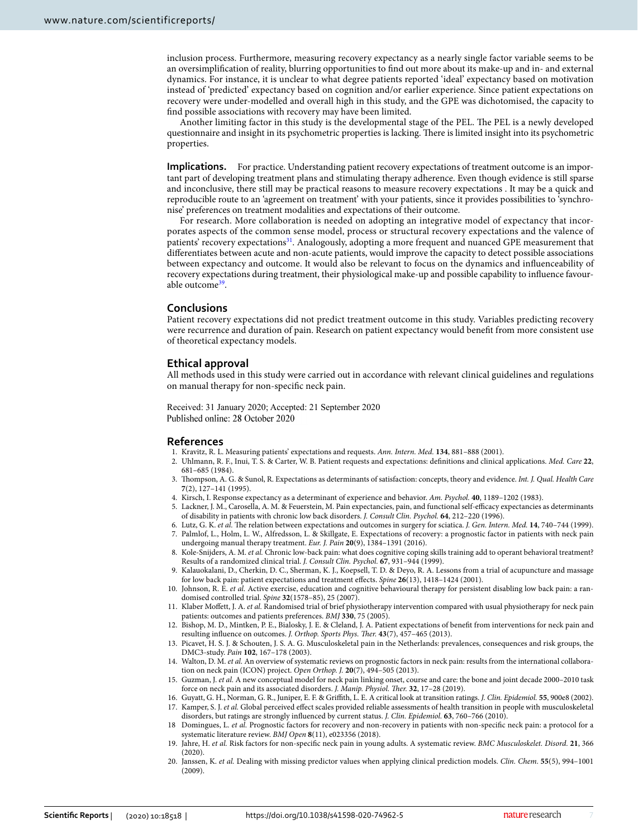inclusion process. Furthermore, measuring recovery expectancy as a nearly single factor variable seems to be an oversimplifcation of reality, blurring opportunities to fnd out more about its make-up and in- and external dynamics. For instance, it is unclear to what degree patients reported 'ideal' expectancy based on motivation instead of 'predicted' expectancy based on cognition and/or earlier experience. Since patient expectations on recovery were under-modelled and overall high in this study, and the GPE was dichotomised, the capacity to fnd possible associations with recovery may have been limited.

Another limiting factor in this study is the developmental stage of the PEL. The PEL is a newly developed questionnaire and insight in its psychometric properties is lacking. There is limited insight into its psychometric properties.

**Implications.** For practice. Understanding patient recovery expectations of treatment outcome is an important part of developing treatment plans and stimulating therapy adherence. Even though evidence is still sparse and inconclusive, there still may be practical reasons to measure recovery expectations . It may be a quick and reproducible route to an 'agreement on treatment' with your patients, since it provides possibilities to 'synchronise' preferences on treatment modalities and expectations of their outcome.

For research. More collaboration is needed on adopting an integrative model of expectancy that incorporates aspects of the common sense model, process or structural recovery expectations and the valence of patients' recovery expectation[s31](#page-7-10). Analogously, adopting a more frequent and nuanced GPE measurement that diferentiates between acute and non-acute patients, would improve the capacity to detect possible associations between expectancy and outcome. It would also be relevant to focus on the dynamics and infuenceability of recovery expectations during treatment, their physiological make-up and possible capability to infuence favourable outcome<sup>39</sup>.

#### **Conclusions**

Patient recovery expectations did not predict treatment outcome in this study. Variables predicting recovery were recurrence and duration of pain. Research on patient expectancy would beneft from more consistent use of theoretical expectancy models.

#### **Ethical approval**

All methods used in this study were carried out in accordance with relevant clinical guidelines and regulations on manual therapy for non-specifc neck pain.

Received: 31 January 2020; Accepted: 21 September 2020 Published online: 28 October 2020

#### **References**

- <span id="page-6-1"></span><span id="page-6-0"></span>1. Kravitz, R. L. Measuring patients' expectations and requests. *Ann. Intern. Med.* **134**, 881–888 (2001).
- 2. Uhlmann, R. F., Inui, T. S. & Carter, W. B. Patient requests and expectations: defnitions and clinical applications. *Med. Care* **22**, 681–685 (1984).
- <span id="page-6-2"></span>3. Tompson, A. G. & Sunol, R. Expectations as determinants of satisfaction: concepts, theory and evidence. *Int. J. Qual. Health Care* **7**(2), 127–141 (1995).
- <span id="page-6-3"></span>4. Kirsch, I. Response expectancy as a determinant of experience and behavior. *Am. Psychol.* **40**, 1189–1202 (1983).
- <span id="page-6-4"></span>5. Lackner, J. M., Carosella, A. M. & Feuerstein, M. Pain expectancies, pain, and functional self-efficacy expectancies as determinants of disability in patients with chronic low back disorders. *J. Consult Clin. Psychol.* **64**, 212–220 (1996).
- <span id="page-6-5"></span>6. Lutz, G. K. et al. The relation between expectations and outcomes in surgery for sciatica. *J. Gen. Intern. Med.* **14**, 740-744 (1999).
- <span id="page-6-6"></span>7. Palmlof, L., Holm, L. W., Alfredsson, L. & Skillgate, E. Expectations of recovery: a prognostic factor in patients with neck pain undergoing manual therapy treatment. *Eur. J. Pain* **20**(9), 1384–1391 (2016).
- 8. Kole-Snijders, A. M. *et al.* Chronic low-back pain: what does cognitive coping skills training add to operant behavioral treatment? Results of a randomized clinical trial. *J. Consult Clin. Psychol.* **67**, 931–944 (1999).
- 9. Kalauokalani, D., Cherkin, D. C., Sherman, K. J., Koepsell, T. D. & Deyo, R. A. Lessons from a trial of acupuncture and massage for low back pain: patient expectations and treatment efects. *Spine* **26**(13), 1418–1424 (2001).
- 10. Johnson, R. E. *et al.* Active exercise, education and cognitive behavioural therapy for persistent disabling low back pain: a randomised controlled trial. *Spine* **32**(1578–85), 25 (2007).
- <span id="page-6-7"></span>11. Klaber Mofett, J. A. *et al.* Randomised trial of brief physiotherapy intervention compared with usual physiotherapy for neck pain patients: outcomes and patients preferences. *BMJ* **330**, 75 (2005).
- <span id="page-6-8"></span>12. Bishop, M. D., Mintken, P. E., Bialosky, J. E. & Cleland, J. A. Patient expectations of beneft from interventions for neck pain and resulting influence on outcomes. *J. Orthop. Sports Phys. Ther.* 43(7), 457-465 (2013).
- <span id="page-6-9"></span>13. Picavet, H. S. J. & Schouten, J. S. A. G. Musculoskeletal pain in the Netherlands: prevalences, consequences and risk groups, the DMC3-study. *Pain* **102**, 167–178 (2003).
- <span id="page-6-10"></span>14. Walton, D. M. *et al.* An overview of systematic reviews on prognostic factors in neck pain: results from the international collaboration on neck pain (ICON) project. *Open Orthop. J.* **20**(7), 494–505 (2013).
- <span id="page-6-11"></span>15. Guzman, J. *et al.* A new conceptual model for neck pain linking onset, course and care: the bone and joint decade 2000–2010 task force on neck pain and its associated disorders. *J. Manip. Physiol. Ther.* 32, 17-28 (2019).
- <span id="page-6-13"></span><span id="page-6-12"></span>16. Guyatt, G. H., Norman, G. R., Juniper, E. F. & Grifth, L. E. A critical look at transition ratings. *J. Clin. Epidemiol.* **55**, 900e8 (2002). 17. Kamper, S. J. *et al.* Global perceived efect scales provided reliable assessments of health transition in people with musculoskeletal
- disorders, but ratings are strongly infuenced by current status. *J. Clin. Epidemiol.* **63**, 760–766 (2010).
- <span id="page-6-14"></span>18 Domingues, L. *et al.* Prognostic factors for recovery and non-recovery in patients with non-specifc neck pain: a protocol for a systematic literature review. *BMJ Open* **8**(11), e023356 (2018).
- <span id="page-6-15"></span>19. Jahre, H. *et al.* Risk factors for non-specifc neck pain in young adults. A systematic review. *BMC Musculoskelet. Disord.* **21**, 366 (2020).
- <span id="page-6-16"></span>20. Janssen, K. *et al.* Dealing with missing predictor values when applying clinical prediction models. *Clin. Chem.* **55**(5), 994–1001 (2009).

7